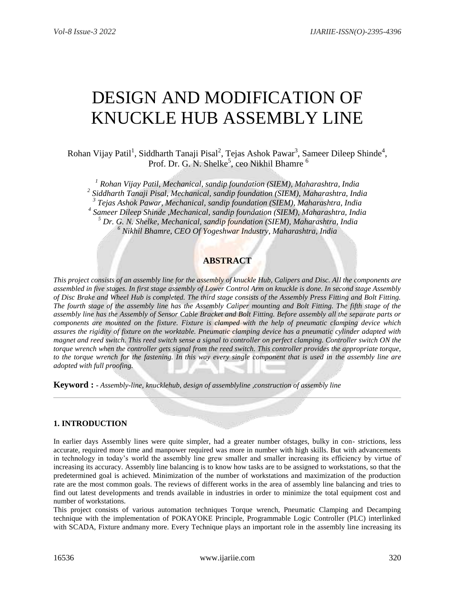# DESIGN AND MODIFICATION OF KNUCKLE HUB ASSEMBLY LINE

Rohan Vijay Patil<sup>1</sup>, Siddharth Tanaji Pisal<sup>2</sup>, Tejas Ashok Pawar<sup>3</sup>, Sameer Dileep Shinde<sup>4</sup>, Prof. Dr. G. N. Shelke<sup>5</sup>, ceo Nikhil Bhamre<sup>6</sup>

 *Rohan Vijay Patil, Mechanical, sandip foundation (SIEM), Maharashtra, India Siddharth Tanaji Pisal, Mechanical, sandip foundation (SIEM), Maharashtra, India Tejas Ashok Pawar, Mechanical, sandip foundation (SIEM), Maharashtra, India Sameer Dileep Shinde ,Mechanical, sandip foundation (SIEM), Maharashtra, India Dr. G. N. Shelke, Mechanical, sandip foundation (SIEM), Maharashtra, India Nikhil Bhamre, CEO Of Yogeshwar Industry, Maharashtra, India*

# **ABSTRACT**

*This project consists of an assembly line for the assembly of knuckle Hub, Calipers and Disc. All the components are assembled in five stages. In first stage assembly of Lower Control Arm on knuckle is done. In second stage Assembly of Disc Brake and Wheel Hub is completed. The third stage consists of the Assembly Press Fitting and Bolt Fitting. The fourth stage of the assembly line has the Assembly Caliper mounting and Bolt Fitting. The fifth stage of the assembly line has the Assembly of Sensor Cable Bracket and Bolt Fitting. Before assembly all the separate parts or components are mounted on the fixture. Fixture is clamped with the help of pneumatic clamping device which assures the rigidity of fixture on the worktable. Pneumatic clamping device has a pneumatic cylinder adapted with magnet and reed switch. This reed switch sense a signal to controller on perfect clamping. Controller switch ON the torque wrench when the controller gets signal from the reed switch. This controller provides the appropriate torque, to the torque wrench for the fastening. In this way every single component that is used in the assembly line are adopted with full proofing.*

**Keyword : -** *Assembly-line, knucklehub, design of assemblyline ,construction of assembly line*

# **1. INTRODUCTION**

In earlier days Assembly lines were quite simpler, had a greater number ofstages, bulky in con- strictions, less accurate, required more time and manpower required was more in number with high skills. But with advancements in technology in today's world the assembly line grew smaller and smaller increasing its efficiency by virtue of increasing its accuracy. Assembly line balancing is to know how tasks are to be assigned to workstations, so that the predetermined goal is achieved. Minimization of the number of workstations and maximization of the production rate are the most common goals. The reviews of different works in the area of assembly line balancing and tries to find out latest developments and trends available in industries in order to minimize the total equipment cost and number of workstations.

This project consists of various automation techniques Torque wrench, Pneumatic Clamping and Decamping technique with the implementation of POKAYOKE Principle, Programmable Logic Controller (PLC) interlinked with SCADA, Fixture andmany more. Every Technique plays an important role in the assembly line increasing its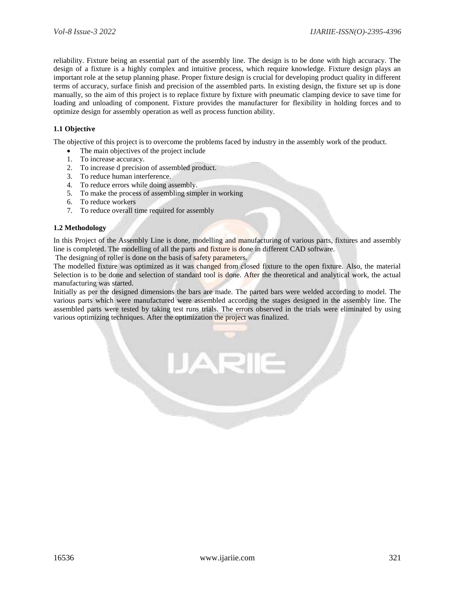reliability. Fixture being an essential part of the assembly line. The design is to be done with high accuracy. The design of a fixture is a highly complex and intuitive process, which require knowledge. Fixture design plays an important role at the setup planning phase. Proper fixture design is crucial for developing product quality in different terms of accuracy, surface finish and precision of the assembled parts. In existing design, the fixture set up is done manually, so the aim of this project is to replace fixture by fixture with pneumatic clamping device to save time for loading and unloading of component. Fixture provides the manufacturer for flexibility in holding forces and to optimize design for assembly operation as well as process function ability.

# **1.1 Objective**

The objective of this project is to overcome the problems faced by industry in the assembly work of the product.

- The main objectives of the project include
- 1. To increase accuracy.
- 2. To increase d precision of assembled product.
- 3. To reduce human interference.
- 4. To reduce errors while doing assembly.
- 5. To make the process of assembling simpler in working
- 6. To reduce workers
- 7. To reduce overall time required for assembly

### **1.2 Methodology**

In this Project of the Assembly Line is done, modelling and manufacturing of various parts, fixtures and assembly line is completed. The modelling of all the parts and fixture is done in different CAD software.

The designing of roller is done on the basis of safety parameters.

The modelled fixture was optimized as it was changed from closed fixture to the open fixture. Also, the material Selection is to be done and selection of standard tool is done. After the theoretical and analytical work, the actual manufacturing was started.

Initially as per the designed dimensions the bars are made. The parted bars were welded according to model. The various parts which were manufactured were assembled according the stages designed in the assembly line. The assembled parts were tested by taking test runs trials. The errors observed in the trials were eliminated by using various optimizing techniques. After the optimization the project was finalized.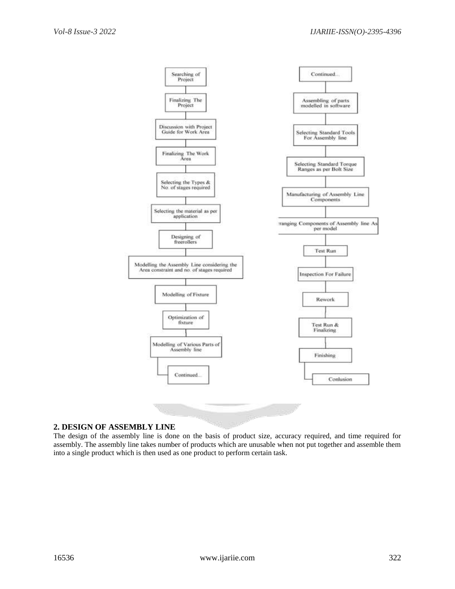

## **2. DESIGN OF ASSEMBLY LINE**

The design of the assembly line is done on the basis of product size, accuracy required, and time required for assembly. The assembly line takes number of products which are unusable when not put together and assemble them into a single product which is then used as one product to perform certain task.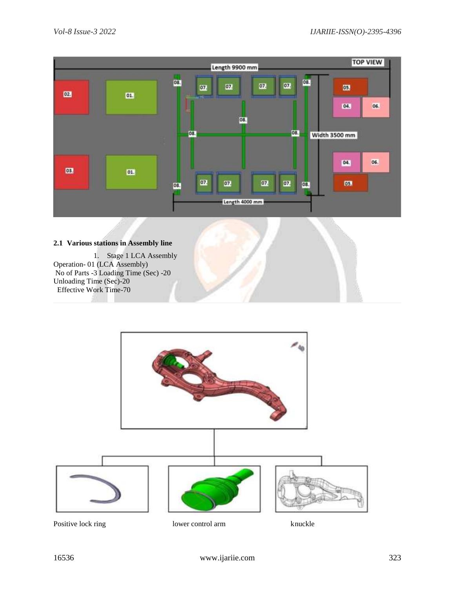

# **2.1 Various stations in Assembly line**

1. Stage 1 LCA Assembly Operation- 01 (LCA Assembly) No of Parts -3 Loading Time (Sec) -20 Unloading Time (Sec)-20 Effective Work Time-70

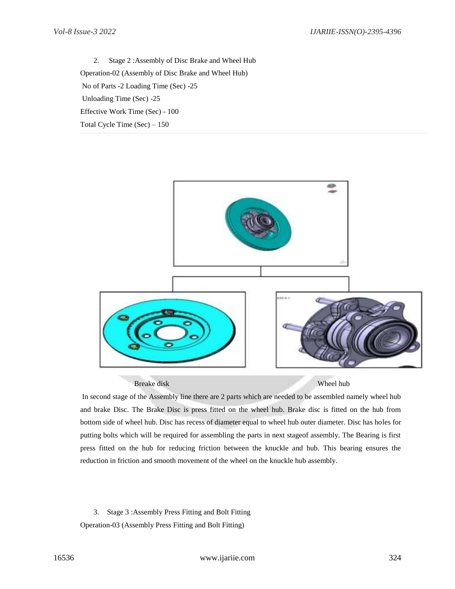2. Stage 2 :Assembly of Disc Brake and Wheel Hub Operation-02 (Assembly of Disc Brake and Wheel Hub) No of Parts -2 Loading Time (Sec) -25 Unloading Time (Sec) -25 Effective Work Time (Sec) - 100 Total Cycle Time (Sec) – 150



Breake disk Wheel hub

In second stage of the Assembly line there are 2 parts which are needed to be assembled namely wheel hub and brake Disc. The Brake Disc is press fitted on the wheel hub. Brake disc is fitted on the hub from bottom side of wheel hub. Disc has recess of diameter equal to wheel hub outer diameter. Disc has holes for putting bolts which will be required for assembling the parts in next stageof assembly. The Bearing is first press fitted on the hub for reducing friction between the knuckle and hub. This bearing ensures the reduction in friction and smooth movement of the wheel on the knuckle hub assembly.

3. Stage 3 :Assembly Press Fitting and Bolt Fitting Operation-03 (Assembly Press Fitting and Bolt Fitting)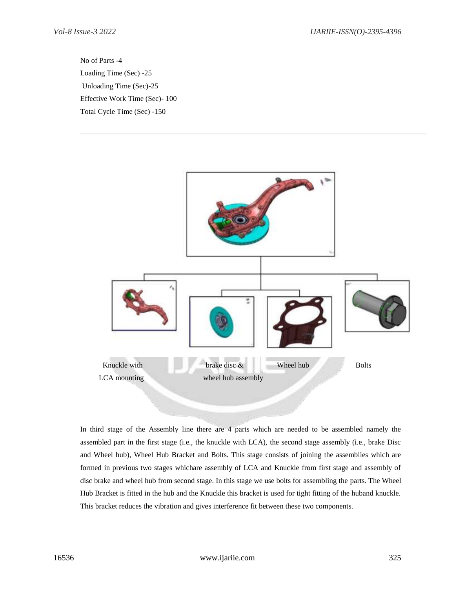No of Parts -4 Loading Time (Sec) -25 Unloading Time (Sec)-25 Effective Work Time (Sec)- 100 Total Cycle Time (Sec) -150



In third stage of the Assembly line there are 4 parts which are needed to be assembled namely the assembled part in the first stage (i.e., the knuckle with LCA), the second stage assembly (i.e., brake Disc and Wheel hub), Wheel Hub Bracket and Bolts. This stage consists of joining the assemblies which are formed in previous two stages whichare assembly of LCA and Knuckle from first stage and assembly of disc brake and wheel hub from second stage. In this stage we use bolts for assembling the parts. The Wheel Hub Bracket is fitted in the hub and the Knuckle this bracket is used for tight fitting of the huband knuckle. This bracket reduces the vibration and gives interference fit between these two components.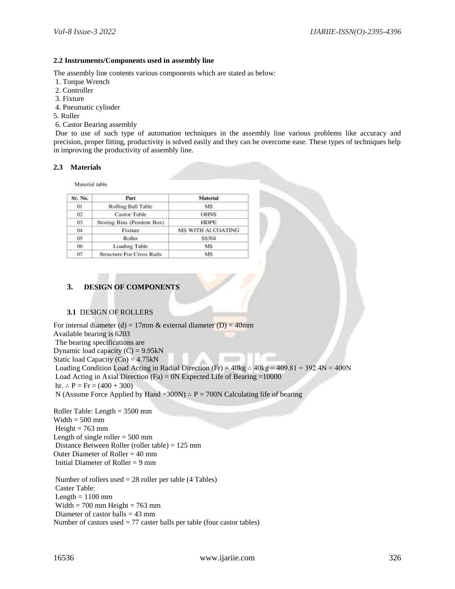### **2.2 Instruments/Components used in assembly line**

The assembly line contents various components which are stated as below:

- 1. Torque Wrench
- 2. Controller
- 3. Fixture
- 4. Pneumatic cylinder
- 5. Roller
- 6. Castor Bearing assembly

Due to use of such type of automation techniques in the assembly line various problems like accuracy and precision, proper fitting, productivity is solved easily and they can be overcome ease. These types of techniques help in improving the productivity of assembly line.

### **2.3 Materials**

Material table

| Sr. No.      | Part                             | Material                  |
|--------------|----------------------------------|---------------------------|
| 01           | Rolling Ball Table               | <b>MS</b>                 |
| 02           | <b>Castor Table</b>              | <b>OHNS</b>               |
| 03           | Storing Bins (Pendent Box)       | <b>HDPE</b>               |
| 04           | Fixture                          | <b>MS WITH AI COATING</b> |
| $05^{\circ}$ | Roller                           | SS304                     |
| $06 -$       | Loading Table                    | MS <sub></sub>            |
| 07.          | <b>Structure For Cross Rails</b> | MS.                       |

# **3. DESIGN OF COMPONENTS**

### **3.1** DESIGN OF ROLLERS

For internal diameter (d) = 17mm & external diameter (D) = 40mm Available bearing is 6203 The bearing specifications are Dynamic load capacity  $(C) = 9.95kN$ Static load Capacity  $(Co) = 4.75kN$ Loading Condition Load Acting in Radial Direction (Fr) =  $40kg \div 40kg = 409.81 = 392.4N \approx 400N$ Load Acting in Axial Direction (Fa) =  $0N$  Expected Life of Bearing = 10000 hr. ∴ P = Fr =  $(400 + 300)$ N (Assume Force Applied by Hand =300N) ∴ P = 700N Calculating life of bearing

Roller Table: Length = 3500 mm Width  $= 500$  mm Height  $= 763$  mm Length of single roller  $= 500$  mm Distance Between Roller (roller table) = 125 mm Outer Diameter of Roller = 40 mm Initial Diameter of Roller = 9 mm

Number of rollers used  $= 28$  roller per table (4 Tables) Caster Table: Length  $= 1100$  mm Width  $= 700$  mm Height  $= 763$  mm Diameter of castor balls  $= 43$  mm Number of castors used  $= 77$  caster balls per table (four castor tables)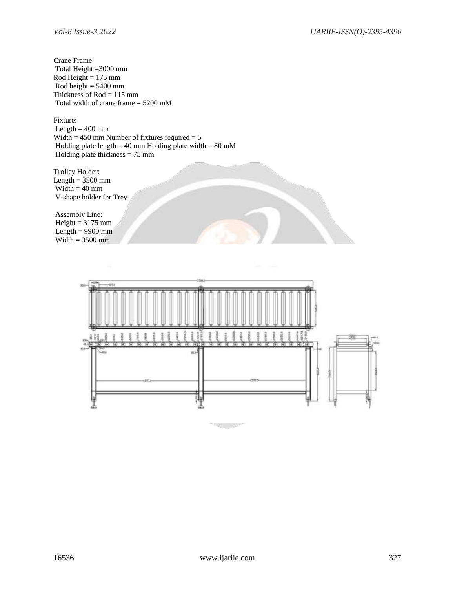Crane Frame: Total Height =3000 mm Rod Height  $= 175$  mm Rod height =  $5400$  mm Thickness of  $Rod = 115$  mm Total width of crane frame = 5200 mM

Fixture: Length  $= 400$  mm Width  $= 450$  mm Number of fixtures required  $= 5$ Holding plate length =  $40 \text{ mm}$  Holding plate width =  $80 \text{ mM}$ Holding plate thickness  $= 75$  mm

Trolley Holder: Length =  $3500$  mm Width  $= 40$  mm V-shape holder for Trey

Assembly Line: Height =  $3175$  mm Length =  $9900$  mm Width  $= 3500$  mm

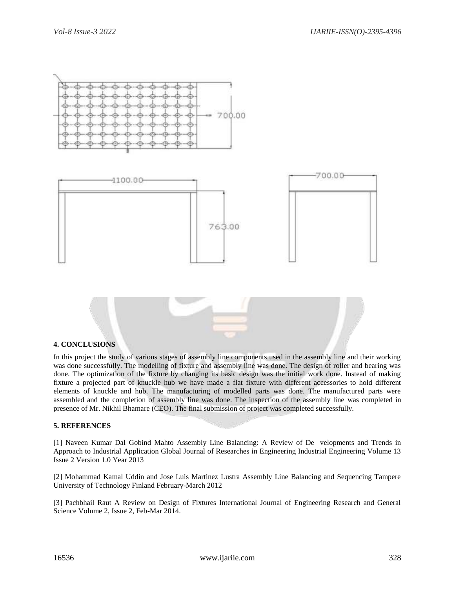

# **4. CONCLUSIONS**

In this project the study of various stages of assembly line components used in the assembly line and their working was done successfully. The modelling of fixture and assembly line was done. The design of roller and bearing was done. The optimization of the fixture by changing its basic design was the initial work done. Instead of making fixture a projected part of knuckle hub we have made a flat fixture with different accessories to hold different elements of knuckle and hub. The manufacturing of modelled parts was done. The manufactured parts were assembled and the completion of assembly line was done. The inspection of the assembly line was completed in presence of Mr. Nikhil Bhamare (CEO). The final submission of project was completed successfully.

### **5. REFERENCES**

[1] Naveen Kumar Dal Gobind Mahto Assembly Line Balancing: A Review of De velopments and Trends in Approach to Industrial Application Global Journal of Researches in Engineering Industrial Engineering Volume 13 Issue 2 Version 1.0 Year 2013

[2] Mohammad Kamal Uddin and Jose Luis Martinez Lustra Assembly Line Balancing and Sequencing Tampere University of Technology Finland February-March 2012

[3] Pachbhail Raut A Review on Design of Fixtures International Journal of Engineering Research and General Science Volume 2, Issue 2, Feb-Mar 2014.